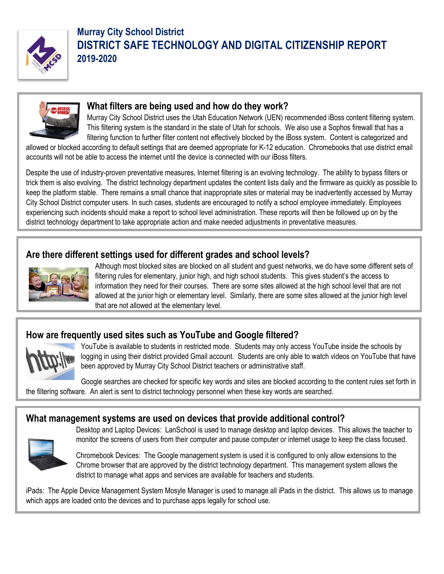

# **Murray City School District DISTRICT SAFE TECHNOLOGY AND DIGITAL CITIZENSHIP REPORT 2019-2020**



### **What filters are being used and how do they work?**

Murray City School District uses the Utah Education Network (UEN) recommended iBoss content filtering system. This filtering system is the standard in the state of Utah for schools. We also use a Sophos firewall that has a filtering function to further filter content not effectively blocked by the iBoss system. Content is categorized and

allowed or blocked according to default settings that are deemed appropriate for K-12 education. Chromebooks that use district email accounts will not be able to access the internet until the device is connected with our iBoss filters.

Despite the use of industry-proven preventative measures, Internet filtering is an evolving technology. The ability to bypass filters or trick them is also evolving. The district technology department updates the content lists daily and the firmware as quickly as possible to keep the platform stable. There remains a small chance that inappropriate sites or material may be inadvertently accessed by Murray City School District computer users. In such cases, students are encouraged to notify a school employee immediately. Employees experiencing such incidents should make a report to school level administration. These reports will then be followed up on by the district technology department to take appropriate action and make needed adjustments in preventative measures.

#### **Are there different settings used for different grades and school levels?**



Although most blocked sites are blocked on all student and guest networks, we do have some different sets of filtering rules for elementary, junior high, and high school students. This gives student's the access to information they need for their courses. There are some sites allowed at the high school level that are not allowed at the junior high or elementary level. Similarly, there are some sites allowed at the junior high level that are not allowed at the elementary level.

#### **How are frequently used sites such as YouTube and Google filtered?**



YouTube is available to students in restricted mode. Students may only access YouTube inside the schools by logging in using their district provided Gmail account. Students are only able to watch videos on YouTube that have been approved by Murray City School District teachers or administrative staff.

Google searches are checked for specific key words and sites are blocked according to the content rules set forth in the filtering software. An alert is sent to district technology personnel when these key words are searched.

#### **What management systems are used on devices that provide additional control?**



Desktop and Laptop Devices: LanSchool is used to manage desktop and laptop devices. This allows the teacher to monitor the screens of users from their computer and pause computer or internet usage to keep the class focused.

Chromebook Devices: The Google management system is used it is configured to only allow extensions to the Chrome browser that are approved by the district technology department. This management system allows the district to manage what apps and services are available for teachers and students.

iPads: The Apple Device Management System Mosyle Manager is used to manage all iPads in the district. This allows us to manage which apps are loaded onto the devices and to purchase apps legally for school use.